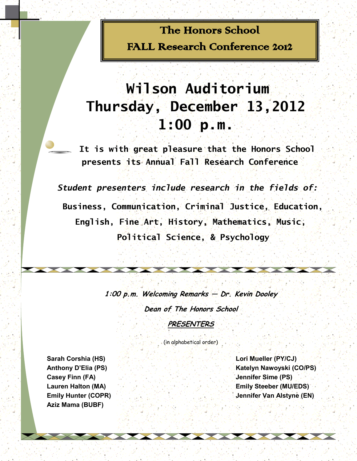## The Honors School FALL Research Conference 2012

# **Wilson Auditorium Thursday, December 13,2012 1:00 p.m.**

 **It is with great pleasure that the Honors School presents its Annual Fall Research Conference**

*Student presenters include research in the fields of:*

 **Business, Communication, Criminal Justice, Education, English, Fine Art, History, Mathematics, Music, Political Science, & Psychology** 

**1:00 p.m. Welcoming Remarks — Dr. Kevin Dooley** 

**Dean of The Honors School**

**PRESENTERS**

(in alphabetical order)

**Casey Finn (FA) Jennifer Sime (PS) Jennifer Sime (PS) Aziz Mama (BUBF)** 

**Sarah Corshia (HS) Lori Mueller (PY/CJ) Anthony D'Elia (PS)** *Katelyn Nawoyski (CO/PS)* **Lauren Halton (MA) Emily Steeber (MU/EDS) Emily Hunter (COPR) Jennifer Van Alstyne (EN)**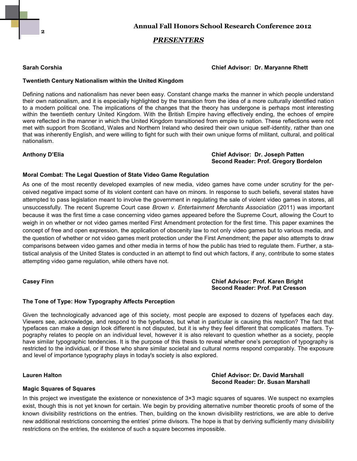**2**

### *PRESENTERS*

### **Sarah Corshia Chief Advisor: Dr. Maryanne Rhett**

### **Twentieth Century Nationalism within the United Kingdom**

Defining nations and nationalism has never been easy. Constant change marks the manner in which people understand their own nationalism, and it is especially highlighted by the transition from the idea of a more culturally identified nation to a modern political one. The implications of the changes that the theory has undergone is perhaps most interesting within the twentieth century United Kingdom. With the British Empire having effectively ending, the echoes of empire were reflected in the manner in which the United Kingdom transitioned from empire to nation. These reflections were not met with support from Scotland, Wales and Northern Ireland who desired their own unique self-identity, rather than one that was inherently English, and were willing to fight for such with their own unique forms of militant, cultural, and political nationalism.

### **Anthony D'Elia Chief Advisor: Dr. Joseph Patten Second Reader: Prof. Gregory Bordelon**

### **Moral Combat: The Legal Question of State Video Game Regulation**

As one of the most recently developed examples of new media, video games have come under scrutiny for the perceived negative impact some of its violent content can have on minors. In response to such beliefs, several states have attempted to pass legislation meant to involve the government in regulating the sale of violent video games in stores, all unsuccessfully. The recent Supreme Court case *Brown v. Entertainment Merchants Association* (2011) was important because it was the first time a case concerning video games appeared before the Supreme Court, allowing the Court to weigh in on whether or not video games merited First Amendment protection for the first time. This paper examines the concept of free and open expression, the application of obscenity law to not only video games but to various media, and the question of whether or not video games merit protection under the First Amendment; the paper also attempts to draw comparisons between video games and other media in terms of how the public has tried to regulate them. Further, a statistical analysis of the United States is conducted in an attempt to find out which factors, if any, contribute to some states attempting video game regulation, while others have not.

### **Casey Finn Chief Advisor: Prof. Karen Bright Second Reader: Prof. Pat Cresson**

### **The Tone of Type: How Typography Affects Perception**

Given the technologically advanced age of this society, most people are exposed to dozens of typefaces each day. Viewers see, acknowledge, and respond to the typefaces, but what in particular is causing this reaction? The fact that typefaces can make a design look different is not disputed, but it is why they feel different that complicates matters. Typography relates to people on an individual level, however it is also relevant to question whether as a society, people have similar typographic tendencies. It is the purpose of this thesis to reveal whether one's perception of typography is restricted to the individual, or if those who share similar societal and cultural norms respond comparably. The exposure and level of importance typography plays in today's society is also explored.

### **Lauren Halton Chief Advisor: Dr. David Marshall Second Reader: Dr. Susan Marshall**

### **Magic Squares of Squares**

In this project we investigate the existence or nonexistence of  $3\times3$  magic squares of squares. We suspect no examples exist, though this is not yet known for certain. We begin by providing alternative number theoretic proofs of some of the known divisibility restrictions on the entries. Then, building on the known divisibility restrictions, we are able to derive new additional restrictions concerning the entries' prime divisors. The hope is that by deriving sufficiently many divisibility restrictions on the entries, the existence of such a square becomes impossible.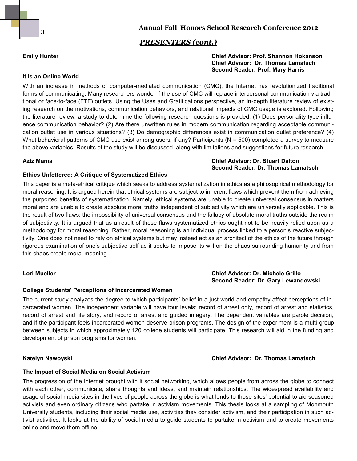**3**

### *PRESENTERS (cont.)*

### **Emily Hunter Chief Advisor: Prof. Shannon Hokanson Chief Advisor: Dr. Thomas Lamatsch Second Reader: Prof. Mary Harris**

### **It Is an Online World**

With an increase in methods of computer-mediated communication (CMC), the Internet has revolutionized traditional forms of communicating. Many researchers wonder if the use of CMC will replace interpersonal communication via traditional or face-to-face (FTF) outlets. Using the Uses and Gratifications perspective, an in-depth literature review of existing research on the motivations, communication behaviors, and relational impacts of CMC usage is explored. Following the literature review, a study to determine the following research questions is provided: (1) Does personality type influence communication behavior? (2) Are there unwritten rules in modern communication regarding acceptable communication outlet use in various situations? (3) Do demographic differences exist in communication outlet preference? (4) What behavioral patterns of CMC use exist among users, if any? Participants (N = 500) completed a survey to measure the above variables. Results of the study will be discussed, along with limitations and suggestions for future research.

### **Aziz Mama Chief Advisor: Dr. Stuart Dalton Second Reader: Dr. Thomas Lamatsch**

### **Ethics Unfettered: A Critique of Systematized Ethics**

This paper is a meta-ethical critique which seeks to address systematization in ethics as a philosophical methodology for moral reasoning. It is argued herein that ethical systems are subject to inherent flaws which prevent them from achieving the purported benefits of systematization. Namely, ethical systems are unable to create universal consensus in matters moral and are unable to create absolute moral truths independent of subjectivity which are universally applicable. This is the result of two flaws: the impossibility of universal consensus and the fallacy of absolute moral truths outside the realm of subjectivity. It is argued that as a result of these flaws systematized ethics ought not to be heavily relied upon as a methodology for moral reasoning. Rather, moral reasoning is an individual process linked to a person's reactive subjectivity. One does not need to rely on ethical systems but may instead act as an architect of the ethics of the future through rigorous examination of one's subjective self as it seeks to impose its will on the chaos surrounding humanity and from this chaos create moral meaning.

### **Lori Mueller Chief Advisor: Dr. Michele Grillo Second Reader: Dr. Gary Lewandowski**

### **College Students' Perceptions of Incarcerated Women**

The current study analyzes the degree to which participants' belief in a just world and empathy affect perceptions of incarcerated women. The independent variable will have four levels: record of arrest only, record of arrest and statistics, record of arrest and life story, and record of arrest and guided imagery. The dependent variables are parole decision, and if the participant feels incarcerated women deserve prison programs. The design of the experiment is a multi-group between subjects in which approximately 120 college students will participate. This research will aid in the funding and development of prison programs for women.

### **Katelyn Nawoyski Chief Advisor: Dr. Thomas Lamatsch**

### **The Impact of Social Media on Social Activism**

The progression of the Internet brought with it social networking, which allows people from across the globe to connect with each other, communicate, share thoughts and ideas, and maintain relationships. The widespread availability and usage of social media sites in the lives of people across the globe is what lends to those sites' potential to aid seasoned activists and even ordinary citizens who partake in activism movements. This thesis looks at a sampling of Monmouth University students, including their social media use, activities they consider activism, and their participation in such activist activities. It looks at the ability of social media to guide students to partake in activism and to create movements online and move them offline.